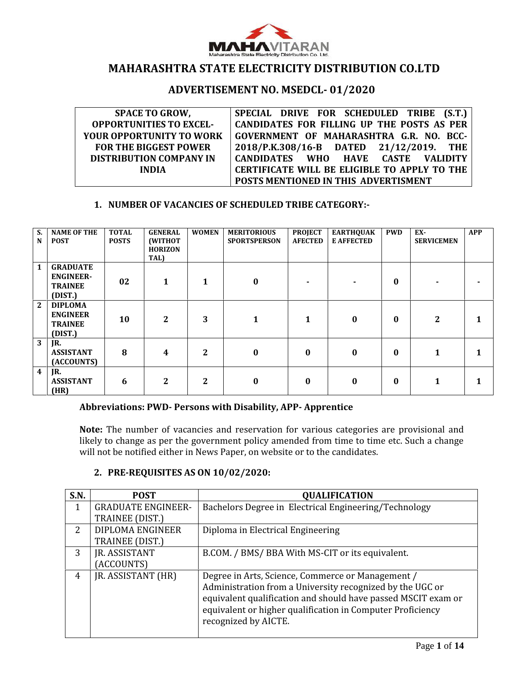

# **MAHARASHTRA STATE ELECTRICITY DISTRIBUTION CO.LTD**

# **ADVERTISEMENT NO. MSEDCL- 01/2020**

| <b>SPACE TO GROW,</b>           | SPECIAL DRIVE FOR SCHEDULED TRIBE (S.T.)            |
|---------------------------------|-----------------------------------------------------|
| <b>OPPORTUNITIES TO EXCEL-</b>  | <b>CANDIDATES FOR FILLING UP THE POSTS AS PER</b>   |
| <b>YOUR OPPORTUNITY TO WORK</b> | GOVERNMENT OF MAHARASHTRA G.R. NO. BCC-             |
| <b>FOR THE BIGGEST POWER</b>    | 2018/P.K.308/16-B DATED 21/12/2019. THE             |
| <b>DISTRIBUTION COMPANY IN</b>  | CANDIDATES WHO HAVE CASTE VALIDITY                  |
| <b>INDIA</b>                    | <b>CERTIFICATE WILL BE ELIGIBLE TO APPLY TO THE</b> |
|                                 | POSTS MENTIONED IN THIS ADVERTISMENT                |

#### **1. NUMBER OF VACANCIES OF SCHEDULED TRIBE CATEGORY:-**

| $S_{n}$<br>N            | <b>NAME OF THE</b><br><b>POST</b>                                | <b>TOTAL</b><br><b>POSTS</b> | <b>GENERAL</b><br>(WITHOT<br><b>HORIZON</b><br>TAL) | <b>WOMEN</b>   | <b>MERITORIOUS</b><br><b>SPORTSPERSON</b> | <b>PROJECT</b><br><b>AFECTED</b> | <b>EARTHQUAK</b><br><b>E AFFECTED</b> | <b>PWD</b> | EX-<br><b>SERVICEMEN</b> | <b>APP</b> |
|-------------------------|------------------------------------------------------------------|------------------------------|-----------------------------------------------------|----------------|-------------------------------------------|----------------------------------|---------------------------------------|------------|--------------------------|------------|
| $\mathbf{1}$            | <b>GRADUATE</b><br><b>ENGINEER-</b><br><b>TRAINEE</b><br>(DIST.) | 02                           | 1                                                   | 1              | $\bf{0}$                                  |                                  |                                       | $\bf{0}$   |                          |            |
| $\mathbf{2}$            | <b>DIPLOMA</b><br><b>ENGINEER</b><br><b>TRAINEE</b><br>(DIST.)   | 10                           | $\mathbf{2}$                                        | 3              | 1                                         | 1                                | 0                                     | $\bf{0}$   | $\mathbf{2}$             | 1          |
| 3                       | JR.<br><b>ASSISTANT</b><br>(ACCOUNTS)                            | 8                            | $\overline{\mathbf{4}}$                             | $\mathbf{2}$   | $\boldsymbol{0}$                          | $\bf{0}$                         | 0                                     | $\bf{0}$   | $\mathbf{1}$             | 1          |
| $\overline{\mathbf{4}}$ | JR.<br><b>ASSISTANT</b><br>(HR)                                  | 6                            | $\mathbf{2}$                                        | $\overline{2}$ | $\bf{0}$                                  | 0                                | 0                                     | $\bf{0}$   | 1                        | 1          |

#### **Abbreviations: PWD- Persons with Disability, APP- Apprentice**

**Note:** The number of vacancies and reservation for various categories are provisional and likely to change as per the government policy amended from time to time etc. Such a change will not be notified either in News Paper, on website or to the candidates.

| S.N. | <b>POST</b>               | <b>QUALIFICATION</b>                                          |
|------|---------------------------|---------------------------------------------------------------|
|      | <b>GRADUATE ENGINEER-</b> | Bachelors Degree in Electrical Engineering/Technology         |
|      | TRAINEE (DIST.)           |                                                               |
| 2.   | DIPLOMA ENGINEER          | Diploma in Electrical Engineering                             |
|      | TRAINEE (DIST.)           |                                                               |
| 3    | <b>JR. ASSISTANT</b>      | B.COM. / BMS/ BBA With MS-CIT or its equivalent.              |
|      | (ACCOUNTS)                |                                                               |
| 4    | JR. ASSISTANT (HR)        | Degree in Arts, Science, Commerce or Management /             |
|      |                           | Administration from a University recognized by the UGC or     |
|      |                           | equivalent qualification and should have passed MSCIT exam or |
|      |                           | equivalent or higher qualification in Computer Proficiency    |
|      |                           | recognized by AICTE.                                          |
|      |                           |                                                               |

# **2. PRE-REQUISITES AS ON 10/02/2020:**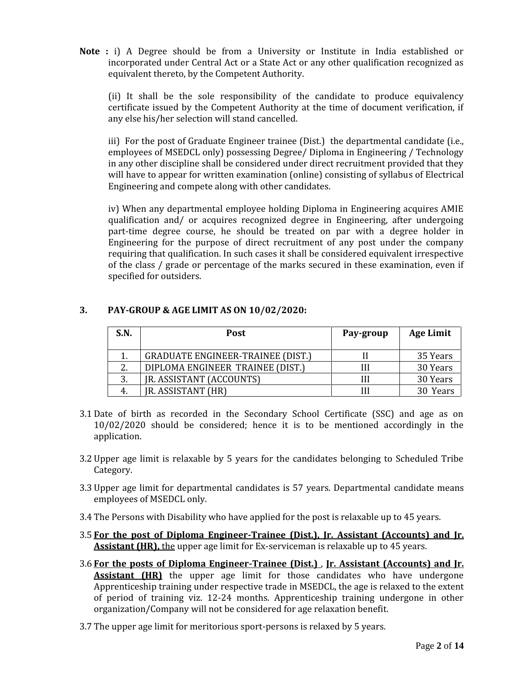**Note :** i) A Degree should be from a University or Institute in India established or incorporated under Central Act or a State Act or any other qualification recognized as equivalent thereto, by the Competent Authority.

(ii) It shall be the sole responsibility of the candidate to produce equivalency certificate issued by the Competent Authority at the time of document verification, if any else his/her selection will stand cancelled.

iii) For the post of Graduate Engineer trainee (Dist.) the departmental candidate (i.e., employees of MSEDCL only) possessing Degree/ Diploma in Engineering / Technology in any other discipline shall be considered under direct recruitment provided that they will have to appear for written examination (online) consisting of syllabus of Electrical Engineering and compete along with other candidates.

iv) When any departmental employee holding Diploma in Engineering acquires AMIE qualification and/ or acquires recognized degree in Engineering, after undergoing part-time degree course, he should be treated on par with a degree holder in Engineering for the purpose of direct recruitment of any post under the company requiring that qualification. In such cases it shall be considered equivalent irrespective of the class / grade or percentage of the marks secured in these examination, even if specified for outsiders.

# **3. PAY-GROUP & AGE LIMIT AS ON 10/02/2020:**

| S.N. | <b>Post</b>                              | Pay-group | <b>Age Limit</b> |
|------|------------------------------------------|-----------|------------------|
|      | <b>GRADUATE ENGINEER-TRAINEE (DIST.)</b> |           | 35 Years         |
|      | DIPLOMA ENGINEER TRAINEE (DIST.)         |           | 30 Years         |
| 3.   | JR. ASSISTANT (ACCOUNTS)                 |           | 30 Years         |
|      | <b>JR. ASSISTANT (HR)</b>                |           | 30 Years         |

- 3.1 Date of birth as recorded in the Secondary School Certificate (SSC) and age as on 10/02/2020 should be considered; hence it is to be mentioned accordingly in the application.
- 3.2 Upper age limit is relaxable by 5 years for the candidates belonging to Scheduled Tribe Category.
- 3.3 Upper age limit for departmental candidates is 57 years. Departmental candidate means employees of MSEDCL only.
- 3.4 The Persons with Disability who have applied for the post is relaxable up to 45 years.
- 3.5 **For the post of Diploma Engineer-Trainee (Dist.), Jr. Assistant (Accounts) and Jr. Assistant (HR),** the upper age limit for Ex-serviceman is relaxable up to 45 years.
- 3.6 **For the posts of Diploma Engineer-Trainee (Dist.)** , **Jr. Assistant (Accounts) and Jr. Assistant (HR)** the upper age limit for those candidates who have undergone Apprenticeship training under respective trade in MSEDCL, the age is relaxed to the extent of period of training viz. 12-24 months. Apprenticeship training undergone in other organization/Company will not be considered for age relaxation benefit.
- 3.7 The upper age limit for meritorious sport-persons is relaxed by 5 years.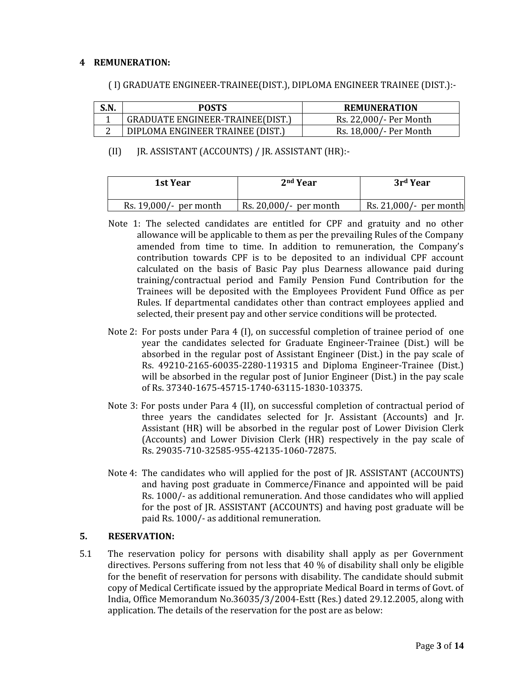### **4 REMUNERATION:**

## ( I) GRADUATE ENGINEER-TRAINEE(DIST.), DIPLOMA ENGINEER TRAINEE (DIST.):-

| S.N | <b>POSTS</b>                            | <b>REMUNERATION</b>    |
|-----|-----------------------------------------|------------------------|
|     | <b>GRADUATE ENGINEER-TRAINEE(DIST.)</b> | Rs. 22,000/- Per Month |
|     | DIPLOMA ENGINEER TRAINEE (DIST.)        | Rs. 18,000/- Per Month |

# (II) JR. ASSISTANT (ACCOUNTS) / JR. ASSISTANT (HR):-

| 1st Year               | 2 <sup>nd</sup> Year      | 3rd Year                  |
|------------------------|---------------------------|---------------------------|
| Rs. 19,000/- per month | Rs. $20,000/$ - per month | Rs. $21,000/$ - per month |

- Note 1: The selected candidates are entitled for CPF and gratuity and no other allowance will be applicable to them as per the prevailing Rules of the Company amended from time to time. In addition to remuneration, the Company's contribution towards CPF is to be deposited to an individual CPF account calculated on the basis of Basic Pay plus Dearness allowance paid during training/contractual period and Family Pension Fund Contribution for the Trainees will be deposited with the Employees Provident Fund Office as per Rules. If departmental candidates other than contract employees applied and selected, their present pay and other service conditions will be protected.
- Note 2: For posts under Para 4 (I), on successful completion of trainee period of one year the candidates selected for Graduate Engineer-Trainee (Dist.) will be absorbed in the regular post of Assistant Engineer (Dist.) in the pay scale of Rs. 49210-2165-60035-2280-119315 and Diploma Engineer-Trainee (Dist.) will be absorbed in the regular post of Junior Engineer (Dist.) in the pay scale of Rs. 37340-1675-45715-1740-63115-1830-103375.
- Note 3: For posts under Para 4 (II), on successful completion of contractual period of three years the candidates selected for Jr. Assistant (Accounts) and Jr. Assistant (HR) will be absorbed in the regular post of Lower Division Clerk (Accounts) and Lower Division Clerk (HR) respectively in the pay scale of Rs. 29035-710-32585-955-42135-1060-72875.
- Note 4: The candidates who will applied for the post of JR. ASSISTANT (ACCOUNTS) and having post graduate in Commerce/Finance and appointed will be paid Rs. 1000/- as additional remuneration. And those candidates who will applied for the post of JR. ASSISTANT (ACCOUNTS) and having post graduate will be paid Rs. 1000/- as additional remuneration.

#### **5. RESERVATION:**

5.1 The reservation policy for persons with disability shall apply as per Government directives. Persons suffering from not less that 40 % of disability shall only be eligible for the benefit of reservation for persons with disability. The candidate should submit copy of Medical Certificate issued by the appropriate Medical Board in terms of Govt. of India, Office Memorandum No.36035/3/2004-Estt (Res.) dated 29.12.2005, along with application. The details of the reservation for the post are as below: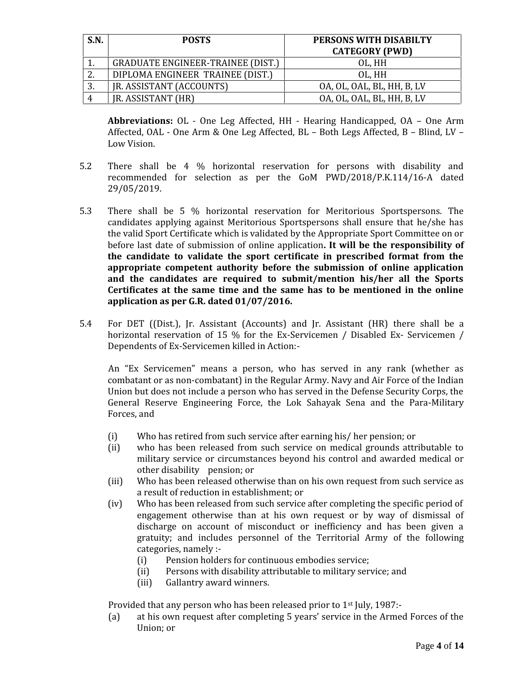| S.N. | <b>POSTS</b>                             | PERSONS WITH DISABILTY<br><b>CATEGORY (PWD)</b> |
|------|------------------------------------------|-------------------------------------------------|
|      | <b>GRADUATE ENGINEER-TRAINEE (DIST.)</b> | OL, HH                                          |
| ົາ   | DIPLOMA ENGINEER TRAINEE (DIST.)         | OL, HH                                          |
| 3.   | JR. ASSISTANT (ACCOUNTS)                 | OA, OL, OAL, BL, HH, B, LV                      |
|      | JR. ASSISTANT (HR)                       | OA, OL, OAL, BL, HH, B, LV                      |

Abbreviations: OL - One Leg Affected, HH - Hearing Handicapped, OA - One Arm Affected, OAL - One Arm & One Leg Affected, BL – Both Legs Affected, <sup>B</sup> – Blind, LV –Low Vision.

- 5.2 There shall be 4 % horizontal reservation for persons with disability and recommended for selection as per the GoM PWD/2018/P.K.114/16-A dated 29/05/2019.
- 5.3 There shall be 5 % horizontal reservation for Meritorious Sportspersons. The candidates applying against Meritorious Sportspersons shall ensure that he/she has the valid Sport Certificate which is validated by the Appropriate Sport Committee on or before last date of submission of online application**. It will be the responsibility of the candidate to validate the sport certificate in prescribed format from the appropriate competent authority before the submission of online application and the candidates are required to submit/mention his/her all the Sports Certificates at the same time and the same has to be mentioned in the online application as per G.R. dated 01/07/2016.**
- 5.4 For DET ((Dist.), Jr. Assistant (Accounts) and Jr. Assistant (HR) there shall be a horizontal reservation of 15 % for the Ex-Servicemen / Disabled Ex- Servicemen / Dependents of Ex-Servicemen killed in Action:-

An "Ex Servicemen" means a person, who has served in any rank (whether as combatant or as non-combatant) in the Regular Army. Navy and Air Force of the Indian Union but does not include a person who has served in the Defense Security Corps, the General Reserve Engineering Force, the Lok Sahayak Sena and the Para-Military Forces, and

- (i) Who has retired from such service after earning his/ her pension; or (ii) who has been released from such service on medical grounds attr
- who has been released from such service on medical grounds attributable to military service or circumstances beyond his control and awarded medical or other disability pension; or
- (iii) Who has been released otherwise than on his own request from such service as a result of reduction in establishment; or
- (iv) Who has been released from such service after completing the specific period of engagement otherwise than at his own request or by way of dismissal of discharge on account of misconduct or inefficiency and has been given a gratuity; and includes personnel of the Territorial Army of the following categories, namely :-<br>(i) Pension holde
	- (i) Pension holders for continuous embodies service;<br>(ii) Persons with disability attributable to military ser
	- (ii) Persons with disability attributable to military service; and (iii) Gallantry award winners.
	- Gallantry award winners.

Provided that any person who has been released prior to  $1^{st}$  July, 1987:-<br>(a) at his own request after completing 5 years' service in the Arme

at his own request after completing 5 years' service in the Armed Forces of the Union; or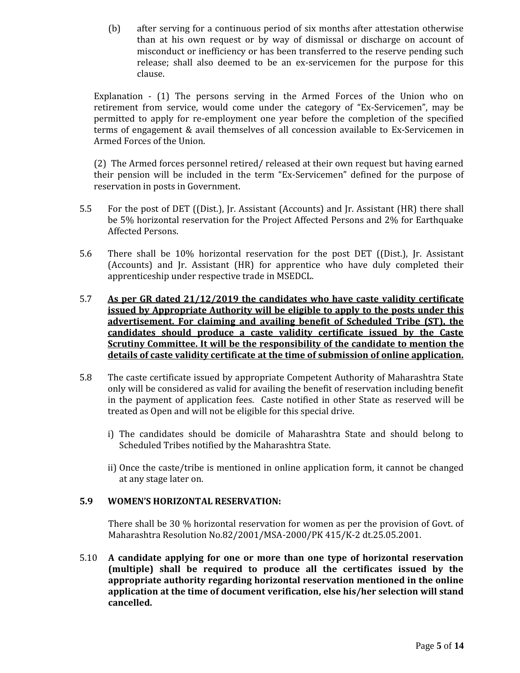(b) after serving for a continuous period of six months after attestation otherwise than at his own request or by way of dismissal or discharge on account of misconduct or inefficiency or has been transferred to the reserve pending such release; shall also deemed to be an ex-servicemen for the purpose for this clause.

Explanation - (1) The persons serving in the Armed Forces of the Union who on retirement from service, would come under the category of "Ex-Servicemen", may be permitted to apply for re-employment one year before the completion of the specified terms of engagement & avail themselves of all concession available to Ex-Servicemen in Armed Forces of the Union.

(2) The Armed forces personnel retired/ released at their own request but having earned their pension will be included in the term "Ex-Servicemen" defined for the purpose of reservation in posts in Government.

- 5.5 For the post of DET ((Dist.), Jr. Assistant (Accounts) and Jr. Assistant (HR) there shall be 5% horizontal reservation for the Project Affected Persons and 2% for Earthquake Affected Persons.
- 5.6 There shall be 10% horizontal reservation for the post DET ((Dist.), Jr. Assistant (Accounts) and Jr. Assistant (HR) for apprentice who have duly completed their apprenticeship under respective trade in MSEDCL.
- 5.7 **As per GR dated 21/12/2019 the candidates who have caste validity certificate issued by Appropriate Authority will be eligible to apply to the posts under this advertisement. For claiming and availing benefit of Scheduled Tribe (ST), the candidates should produce a caste validity certificate issued by the Caste Scrutiny Committee. It will be the responsibility of the candidate to mention the details of caste validity certificate at the time of submission of online application.**
- 5.8 The caste certificate issued by appropriate Competent Authority of Maharashtra State only will be considered as valid for availing the benefit of reservation including benefit in the payment of application fees. Caste notified in other State as reserved will be treated as Open and will not be eligible for this special drive.
	- i) The candidates should be domicile of Maharashtra State and should belong to Scheduled Tribes notified by the Maharashtra State.
	- ii) Once the caste/tribe is mentioned in online application form, it cannot be changed at any stage later on.

# **5.9 WOMEN'S HORIZONTAL RESERVATION:**

There shall be 30 % horizontal reservation for women as per the provision of Govt. of Maharashtra Resolution No.82/2001/MSA-2000/PK 415/K-2 dt.25.05.2001.

5.10 **A candidate applying for one or more than one type of horizontal reservation (multiple) shall be required to produce all the certificates issued by the appropriate authority regarding horizontal reservation mentioned in the online application at the time of document verification, else his/her selection will stand cancelled.**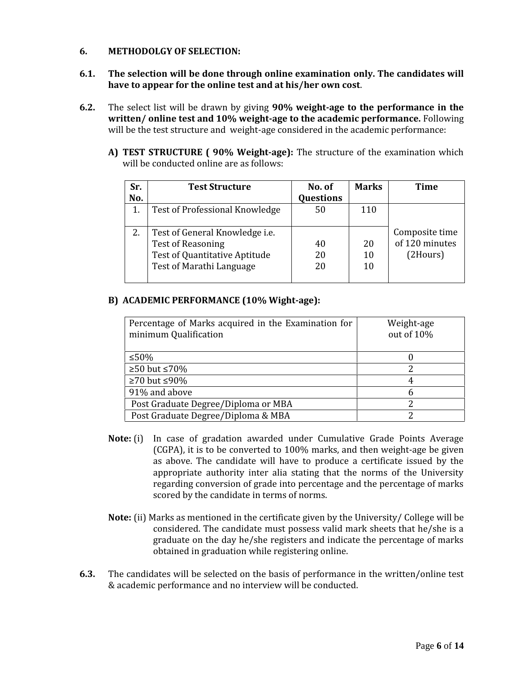# **6. METHODOLGY OF SELECTION:**

- **6.1. The selection will be done through online examination only. The candidates will have to appear for the online test and at his/her own cost**.
- **6.2.** The select list will be drawn by giving **90% weight-age to the performance in the written/ online test and 10% weight-age to the academic performance.** Following will be the test structure and weight-age considered in the academic performance:
	- **A) TEST STRUCTURE ( 90% Weight-age):** The structure of the examination which will be conducted online are as follows:

| Sr. | <b>Test Structure</b>                 | No. of           | <b>Marks</b> | <b>Time</b>    |
|-----|---------------------------------------|------------------|--------------|----------------|
| No. |                                       | <b>Questions</b> |              |                |
|     | Test of Professional Knowledge        | 50               | 110          |                |
|     |                                       |                  |              |                |
| 2.  | Test of General Knowledge <i>i.e.</i> |                  |              | Composite time |
|     | <b>Test of Reasoning</b>              | 40               | 20           | of 120 minutes |
|     | Test of Quantitative Aptitude         | 20               | 10           | (2Hours)       |
|     | Test of Marathi Language              | 20               | 10           |                |
|     |                                       |                  |              |                |

### **B) ACADEMIC PERFORMANCE (10% Wight-age):**

| Percentage of Marks acquired in the Examination for<br>minimum Qualification | Weight-age<br>out of 10% |  |
|------------------------------------------------------------------------------|--------------------------|--|
| ≤50%                                                                         |                          |  |
| $≥50$ but ≤70%                                                               |                          |  |
| $≥70$ but ≤90%                                                               |                          |  |
| 91% and above                                                                | h                        |  |
| Post Graduate Degree/Diploma or MBA                                          |                          |  |
| Post Graduate Degree/Diploma & MBA                                           |                          |  |

- **Note:** (i) In case of gradation awarded under Cumulative Grade Points Average (CGPA), it is to be converted to 100% marks, and then weight-age be given as above. The candidate will have to produce a certificate issued by the appropriate authority inter alia stating that the norms of the University regarding conversion of grade into percentage and the percentage of marks scored by the candidate in terms of norms.
- **Note:** (ii) Marks as mentioned in the certificate given by the University/ College will be considered. The candidate must possess valid mark sheets that he/she is a graduate on the day he/she registers and indicate the percentage of marks obtained in graduation while registering online.
- **6.3.** The candidates will be selected on the basis of performance in the written/online test & academic performance and no interview will be conducted.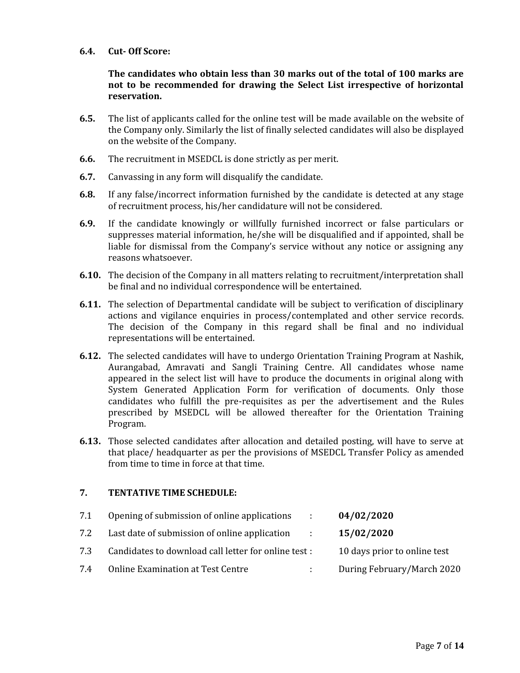### **6.4. Cut- Off Score:**

# **The candidates who obtain less than 30 marks out of the total of 100 marks are not to be recommended for drawing the Select List irrespective of horizontal reservation.**

- **6.5.** The list of applicants called for the online test will be made available on the website of the Company only. Similarly the list of finally selected candidates will also be displayed on the website of the Company.
- **6.6.** The recruitment in MSEDCL is done strictly as per merit.
- **6.7.** Canvassing in any form will disqualify the candidate.
- **6.8.** If any false/incorrect information furnished by the candidate is detected at any stage of recruitment process, his/her candidature will not be considered.
- **6.9.** If the candidate knowingly or willfully furnished incorrect or false particulars or suppresses material information, he/she will be disqualified and if appointed, shall be liable for dismissal from the Company's service without any notice or assigning any reasons whatsoever.
- **6.10.** The decision of the Company in all matters relating to recruitment/interpretation shall be final and no individual correspondence will be entertained.
- **6.11.** The selection of Departmental candidate will be subject to verification of disciplinary actions and vigilance enquiries in process/contemplated and other service records. The decision of the Company in this regard shall be final and no individual representations will be entertained.
- **6.12.** The selected candidates will have to undergo Orientation Training Program at Nashik, Aurangabad, Amravati and Sangli Training Centre. All candidates whose name appeared in the select list will have to produce the documents in original along with System Generated Application Form for verification of documents. Only those candidates who fulfill the pre-requisites as per the advertisement and the Rules prescribed by MSEDCL will be allowed thereafter for the Orientation Training Program.
- **6.13.** Those selected candidates after allocation and detailed posting, will have to serve at that place/ headquarter as per the provisions of MSEDCL Transfer Policy as amended from time to time in force at that time.

# **7. TENTATIVE TIME SCHEDULE:**

| 7.1 | Opening of submission of online applications<br><b>COLL</b>      | 04/02/2020                   |
|-----|------------------------------------------------------------------|------------------------------|
| 7.2 | Last date of submission of online application<br><b>Contract</b> | 15/02/2020                   |
| 7.3 | Candidates to download call letter for online test :             | 10 days prior to online test |
| 7.4 | <b>Online Examination at Test Centre</b><br>$\mathcal{L}$        | During February/March 2020   |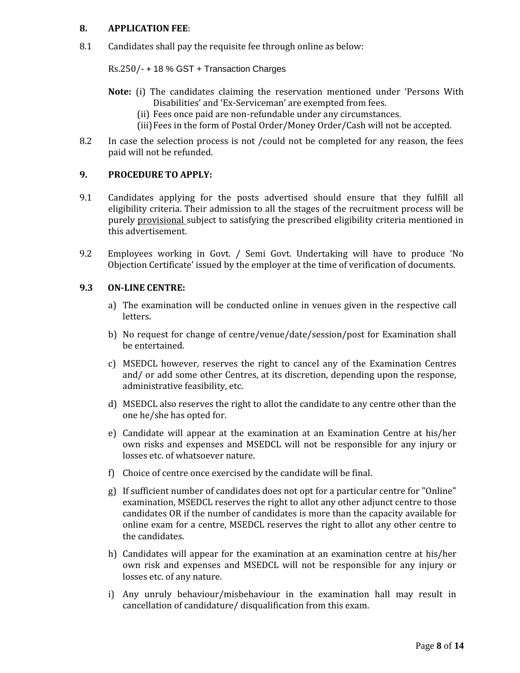### **8. APPLICATION FEE**:

8.1 Candidates shall pay the requisite fee through online as below:

Rs.250/- + 18 % GST + Transaction Charges

- **Note:** (i) The candidates claiming the reservation mentioned under 'Persons With Disabilities' and 'Ex-Serviceman' are exempted from fees.
	- (ii) Fees once paid are non-refundable under any circumstances.
	- (iii)Fees in the form of Postal Order/Money Order/Cash will not be accepted.
- 8.2 In case the selection process is not /could not be completed for any reason, the fees paid will not be refunded.

## **9. PROCEDURE TO APPLY:**

- 9.1 Candidates applying for the posts advertised should ensure that they fulfill all eligibility criteria. Their admission to all the stages of the recruitment process will be purely provisional subject to satisfying the prescribed eligibility criteria mentioned in this advertisement.
- 9.2 Employees working in Govt. / Semi Govt. Undertaking will have to produce 'No Objection Certificate' issued by the employer at the time of verification of documents.

#### **9.3 ON-LINE CENTRE:**

- a) The examination will be conducted online in venues given in the respective call letters.
- b) No request for change of centre/venue/date/session/post for Examination shall be entertained.
- c) MSEDCL however, reserves the right to cancel any of the Examination Centres and/ or add some other Centres, at its discretion, depending upon the response, administrative feasibility, etc.
- d) MSEDCL also reserves the right to allot the candidate to any centre other than the one he/she has opted for.
- e) Candidate will appear at the examination at an Examination Centre at his/her own risks and expenses and MSEDCL will not be responsible for any injury or losses etc. of whatsoever nature.
- f) Choice of centre once exercised by the candidate will be final.
- g) If sufficient number of candidates does not opt for a particular centre for "Online" examination, MSEDCL reserves the right to allot any other adjunct centre to those candidates OR if the number of candidates is more than the capacity available for online exam for a centre, MSEDCL reserves the right to allot any other centre to the candidates.
- h) Candidates will appear for the examination at an examination centre at his/her own risk and expenses and MSEDCL will not be responsible for any injury or losses etc. of any nature.
- i) Any unruly behaviour/misbehaviour in the examination hall may result in cancellation of candidature/ disqualification from this exam.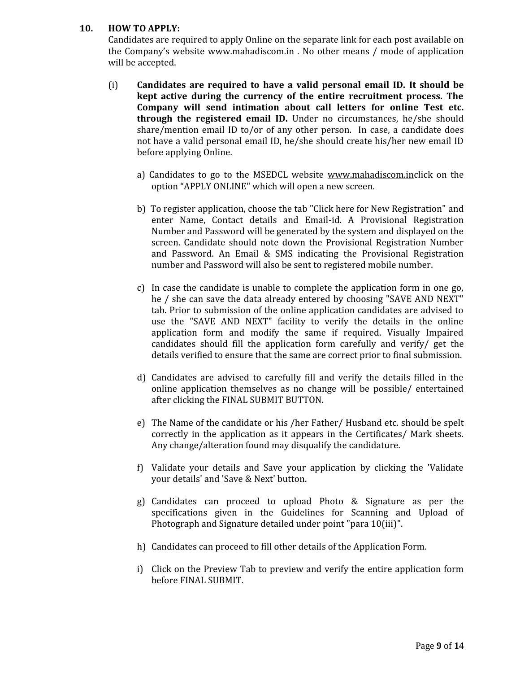# **10. HOW TO APPLY:**

Candidates are required to apply Online on the separate link for each post available on the Company's website www.mahadiscom.in . No other means / mode of application will be accepted.

- (i) **Candidates are required to have a valid personal email ID. It should be kept active during the currency of the entire recruitment process. The Company will send intimation about call letters for online Test etc. through the registered email ID.** Under no circumstances, he/she should share/mention email ID to/or of any other person. In case, a candidate does not have a valid personal email ID, he/she should create his/her new email ID before applying Online.
	- a) Candidates to go to the MSEDCL website www.mahadiscom.inclick on the option "APPLY ONLINE" which will open a new screen.
	- b) To register application, choose the tab "Click here for New Registration" and enter Name, Contact details and Email-id. A Provisional Registration Number and Password will be generated by the system and displayed on the screen. Candidate should note down the Provisional Registration Number and Password. An Email & SMS indicating the Provisional Registration number and Password will also be sent to registered mobile number.
	- c) In case the candidate is unable to complete the application form in one go, he / she can save the data already entered by choosing "SAVE AND NEXT" tab. Prior to submission of the online application candidates are advised to use the "SAVE AND NEXT" facility to verify the details in the online application form and modify the same if required. Visually Impaired candidates should fill the application form carefully and verify/ get the details verified to ensure that the same are correct prior to final submission.
	- d) Candidates are advised to carefully fill and verify the details filled in the online application themselves as no change will be possible/ entertained after clicking the FINAL SUBMIT BUTTON.
	- e) The Name of the candidate or his /her Father/ Husband etc. should be spelt correctly in the application as it appears in the Certificates/ Mark sheets. Any change/alteration found may disqualify the candidature.
	- f) Validate your details and Save your application by clicking the 'Validate your details' and 'Save & Next' button.
	- g) Candidates can proceed to upload Photo & Signature as per the specifications given in the Guidelines for Scanning and Upload of Photograph and Signature detailed under point "para 10(iii)".
	- h) Candidates can proceed to fill other details of the Application Form.
	- i) Click on the Preview Tab to preview and verify the entire application form before FINAL SUBMIT.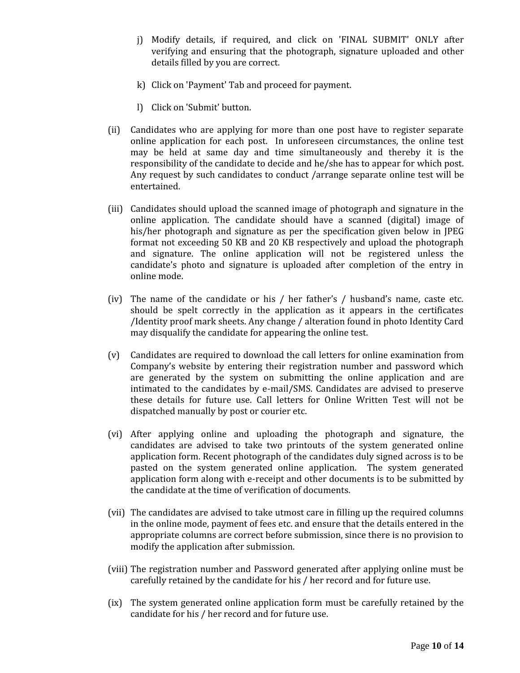- j) Modify details, if required, and click on 'FINAL SUBMIT' ONLY after verifying and ensuring that the photograph, signature uploaded and other details filled by you are correct.
- k) Click on 'Payment' Tab and proceed for payment.
- l) Click on 'Submit' button.
- (ii) Candidates who are applying for more than one post have to register separate online application for each post. In unforeseen circumstances, the online test may be held at same day and time simultaneously and thereby it is the responsibility of the candidate to decide and he/she has to appear for which post. Any request by such candidates to conduct /arrange separate online test will be entertained.
- (iii) Candidates should upload the scanned image of photograph and signature in the online application. The candidate should have a scanned (digital) image of his/her photograph and signature as per the specification given below in JPEG format not exceeding 50 KB and 20 KB respectively and upload the photograph and signature. The online application will not be registered unless the candidate's photo and signature is uploaded after completion of the entry in online mode.
- (iv) The name of the candidate or his / her father's / husband's name, caste etc. should be spelt correctly in the application as it appears in the certificates /Identity proof mark sheets. Any change / alteration found in photo Identity Card may disqualify the candidate for appearing the online test.
- (v) Candidates are required to download the call letters for online examination from Company's website by entering their registration number and password which are generated by the system on submitting the online application and are intimated to the candidates by e-mail/SMS. Candidates are advised to preserve these details for future use. Call letters for Online Written Test will not be dispatched manually by post or courier etc.
- (vi) After applying online and uploading the photograph and signature, the candidates are advised to take two printouts of the system generated online application form. Recent photograph of the candidates duly signed across is to be pasted on the system generated online application. The system generated application form along with e-receipt and other documents is to be submitted by the candidate at the time of verification of documents.
- (vii) The candidates are advised to take utmost care in filling up the required columns in the online mode, payment of fees etc. and ensure that the details entered in the appropriate columns are correct before submission, since there is no provision to modify the application after submission.
- (viii) The registration number and Password generated after applying online must be carefully retained by the candidate for his / her record and for future use.
- (ix) The system generated online application form must be carefully retained by the candidate for his / her record and for future use.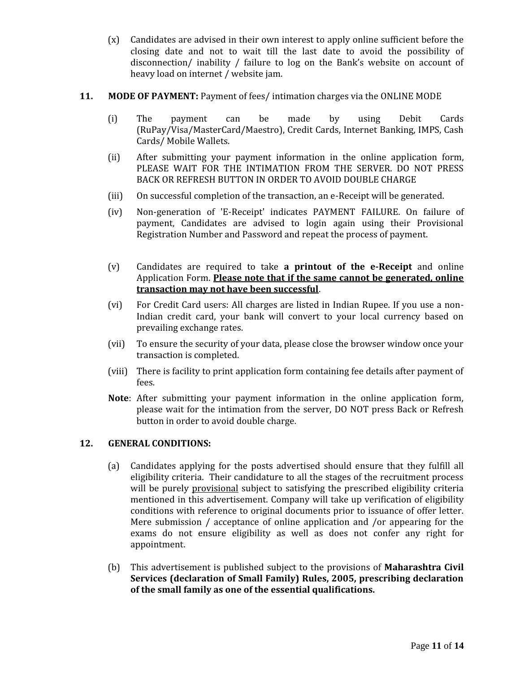- (x) Candidates are advised in their own interest to apply online sufficient before the closing date and not to wait till the last date to avoid the possibility of disconnection/ inability / failure to log on the Bank's website on account of heavy load on internet / website jam.
- **11. MODE OF PAYMENT:** Payment of fees/ intimation charges via the ONLINE MODE
	- (i) The payment can be made by using Debit Cards (RuPay/Visa/MasterCard/Maestro), Credit Cards, Internet Banking, IMPS, Cash Cards/ Mobile Wallets.
	- (ii) After submitting your payment information in the online application form, PLEASE WAIT FOR THE INTIMATION FROM THE SERVER. DO NOT PRESS BACK OR REFRESH BUTTON IN ORDER TO AVOID DOUBLE CHARGE
	- (iii) On successful completion of the transaction, an e-Receipt will be generated.
	- (iv) Non-generation of 'E-Receipt' indicates PAYMENT FAILURE. On failure of payment, Candidates are advised to login again using their Provisional Registration Number and Password and repeat the process of payment.
	- (v) Candidates are required to take **a printout of the e-Receipt** and online Application Form. **Please note that if the same cannot be generated, online transaction may not have been successful**.
	- (vi) For Credit Card users: All charges are listed in Indian Rupee. If you use a non-Indian credit card, your bank will convert to your local currency based on prevailing exchange rates.
	- (vii) To ensure the security of your data, please close the browser window once your transaction is completed.
	- (viii) There is facility to print application form containing fee details after payment of fees.
	- **Note**: After submitting your payment information in the online application form, please wait for the intimation from the server, DO NOT press Back or Refresh button in order to avoid double charge.

# **12. GENERAL CONDITIONS:**

- (a) Candidates applying for the posts advertised should ensure that they fulfill all eligibility criteria. Their candidature to all the stages of the recruitment process will be purely provisional subject to satisfying the prescribed eligibility criteria mentioned in this advertisement. Company will take up verification of eligibility conditions with reference to original documents prior to issuance of offer letter. Mere submission / acceptance of online application and /or appearing for the exams do not ensure eligibility as well as does not confer any right for appointment.
- (b) This advertisement is published subject to the provisions of **Maharashtra Civil Services (declaration of Small Family) Rules, 2005, prescribing declaration of the small family as one of the essential qualifications.**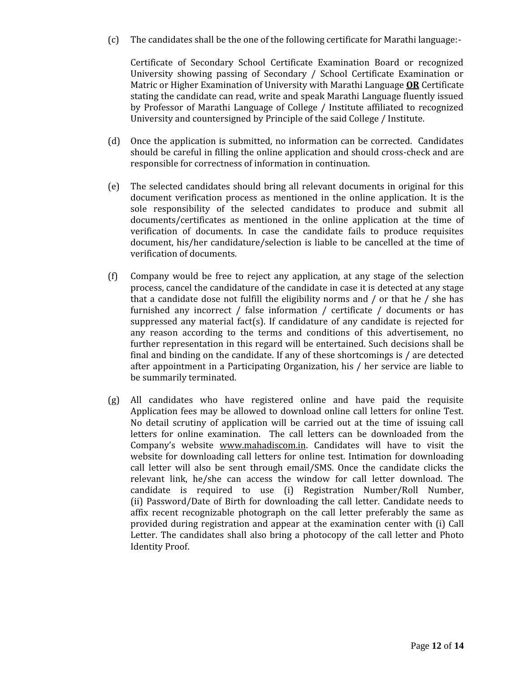(c) The candidates shall be the one of the following certificate for Marathi language:-

Certificate of Secondary School Certificate Examination Board or recognized University showing passing of Secondary / School Certificate Examination or Matric or Higher Examination of University with Marathi Language **OR** Certificate stating the candidate can read, write and speak Marathi Language fluently issued by Professor of Marathi Language of College / Institute affiliated to recognized University and countersigned by Principle of the said College / Institute.

- (d) Once the application is submitted, no information can be corrected. Candidates should be careful in filling the online application and should cross-check and are responsible for correctness of information in continuation.
- (e) The selected candidates should bring all relevant documents in original for this document verification process as mentioned in the online application. It is the sole responsibility of the selected candidates to produce and submit all documents/certificates as mentioned in the online application at the time of verification of documents. In case the candidate fails to produce requisites document, his/her candidature/selection is liable to be cancelled at the time of verification of documents.
- (f) Company would be free to reject any application, at any stage of the selection process, cancel the candidature of the candidate in case it is detected at any stage that a candidate dose not fulfill the eligibility norms and / or that he / she has furnished any incorrect / false information / certificate / documents or has suppressed any material fact $(s)$ . If candidature of any candidate is rejected for any reason according to the terms and conditions of this advertisement, no further representation in this regard will be entertained. Such decisions shall be final and binding on the candidate. If any of these shortcomings is / are detected after appointment in a Participating Organization, his / her service are liable to be summarily terminated.
- (g) All candidates who have registered online and have paid the requisite Application fees may be allowed to download online call letters for online Test. No detail scrutiny of application will be carried out at the time of issuing call letters for online examination. The call letters can be downloaded from the Company's website www.mahadiscom.in. Candidates will have to visit the website for downloading call letters for online test. Intimation for downloading call letter will also be sent through email/SMS. Once the candidate clicks the relevant link, he/she can access the window for call letter download. The candidate is required to use (i) Registration Number/Roll Number, (ii) Password/Date of Birth for downloading the call letter. Candidate needs to affix recent recognizable photograph on the call letter preferably the same as provided during registration and appear at the examination center with (i) Call Letter. The candidates shall also bring a photocopy of the call letter and Photo Identity Proof.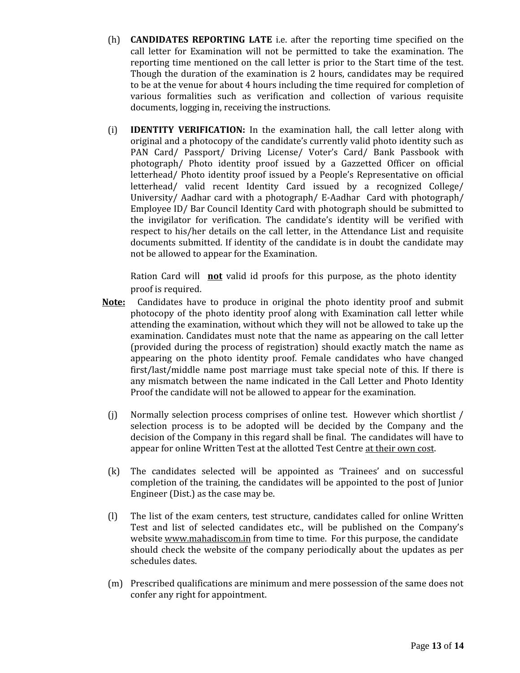- (h) **CANDIDATES REPORTING LATE** i.e. after the reporting time specified on the call letter for Examination will not be permitted to take the examination. The reporting time mentioned on the call letter is prior to the Start time of the test. Though the duration of the examination is 2 hours, candidates may be required to be at the venue for about 4 hours including the time required for completion of various formalities such as verification and collection of various requisite documents, logging in, receiving the instructions.
- (i) **IDENTITY VERIFICATION:** In the examination hall, the call letter along with original and a photocopy of the candidate's currently valid photo identity such as PAN Card/ Passport/ Driving License/ Voter's Card/ Bank Passbook with photograph/ Photo identity proof issued by a Gazzetted Officer on official letterhead/ Photo identity proof issued by a People's Representative on official letterhead/ valid recent Identity Card issued by a recognized College/ University/ Aadhar card with a photograph/ E-Aadhar Card with photograph/ Employee ID/ Bar Council Identity Card with photograph should be submitted to the invigilator for verification. The candidate's identity will be verified with respect to his/her details on the call letter, in the Attendance List and requisite documents submitted. If identity of the candidate is in doubt the candidate may not be allowed to appear for the Examination.

Ration Card will **not** valid id proofs for this purpose, as the photo identity proof is required.

- **Note:** Candidates have to produce in original the photo identity proof and submit photocopy of the photo identity proof along with Examination call letter while attending the examination, without which they will not be allowed to take up the examination. Candidates must note that the name as appearing on the call letter (provided during the process of registration) should exactly match the name as appearing on the photo identity proof. Female candidates who have changed first/last/middle name post marriage must take special note of this. If there is any mismatch between the name indicated in the Call Letter and Photo Identity Proof the candidate will not be allowed to appear for the examination.
	- (j) Normally selection process comprises of online test. However which shortlist / selection process is to be adopted will be decided by the Company and the decision of the Company in this regard shall be final. The candidates will have to appear for online Written Test at the allotted Test Centre at their own cost.
	- (k) The candidates selected will be appointed as 'Trainees' and on successful completion of the training, the candidates will be appointed to the post of Junior Engineer (Dist.) as the case may be.
	- (l) The list of the exam centers, test structure, candidates called for online Written Test and list of selected candidates etc., will be published on the Company's website www.mahadiscom.in from time to time. For this purpose, the candidate should check the website of the company periodically about the updates as per schedules dates.
	- (m) Prescribed qualifications are minimum and mere possession of the same does not confer any right for appointment.